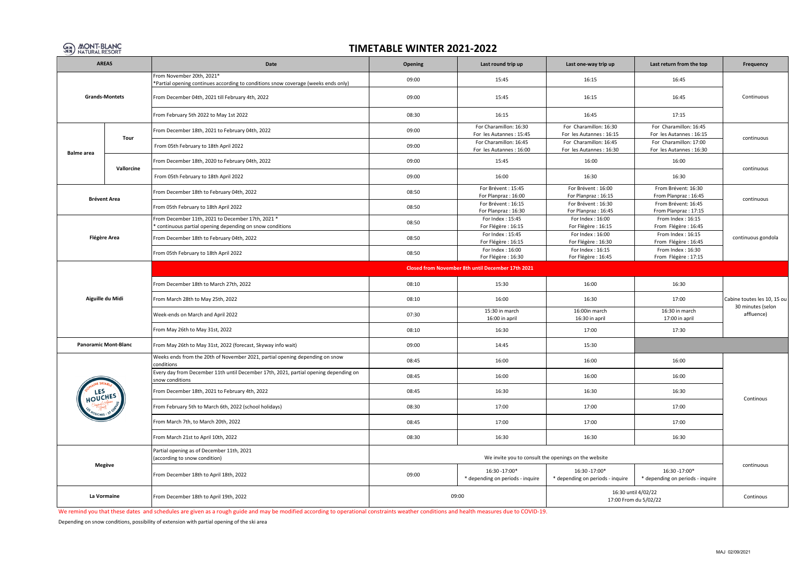

## **TIMETABLE WINTER 2021-2022**

| <b>AREAS</b>                |                     | Date                                                                                                            | Opening | Last round trip up                                 | Last one-way trip up                                 | Last return from the top                           | Frequency                                                      |  |  |  |
|-----------------------------|---------------------|-----------------------------------------------------------------------------------------------------------------|---------|----------------------------------------------------|------------------------------------------------------|----------------------------------------------------|----------------------------------------------------------------|--|--|--|
| <b>Grands-Montets</b>       |                     | From November 20th, 2021*<br>*Partial opening continues according to conditions snow coverage (weeks ends only) | 09:00   | 15:45                                              | 16:15                                                | 16:45                                              | Continuous                                                     |  |  |  |
|                             |                     | From December 04th, 2021 till February 4th, 2022                                                                | 09:00   | 15:45                                              | 16:15                                                | 16:45                                              |                                                                |  |  |  |
|                             |                     | From February 5th 2022 to May 1st 2022                                                                          | 08:30   | 16:15                                              | 16:45                                                | 17:15                                              |                                                                |  |  |  |
|                             | Tour                | From December 18th, 2021 to February 04th, 2022                                                                 | 09:00   | For Charamillon: 16:30<br>For les Autannes : 15:45 | For Charamillon: 16:30<br>For les Autannes : 16:15   | For Charamillon: 16:45<br>For les Autannes : 16:15 | continuous                                                     |  |  |  |
|                             |                     | From 05th February to 18th April 2022                                                                           | 09:00   | For Charamillon: 16:45<br>For les Autannes : 16:00 | For Charamillon: 16:45<br>For les Autannes: 16:30    | For Charamillon: 17:00<br>For les Autannes : 16:30 |                                                                |  |  |  |
| <b>Balme</b> area           | Vallorcine          | From December 18th, 2020 to February 04th, 2022                                                                 | 09:00   | 15:45                                              | 16:00                                                | 16:00                                              | continuous                                                     |  |  |  |
|                             |                     | From 05th February to 18th April 2022                                                                           | 09:00   | 16:00                                              | 16:30                                                | 16:30                                              |                                                                |  |  |  |
|                             |                     | From December 18th to February 04th, 2022                                                                       | 08:50   | For Brévent: 15:45<br>For Planpraz: 16:00          | For Brévent: 16:00<br>For Planpraz: 16:15            | From Brévent: 16:30<br>From Planpraz: 16:45        |                                                                |  |  |  |
| <b>Brévent Area</b>         |                     | From 05th February to 18th April 2022                                                                           | 08:50   | For Brévent: 16:15<br>For Planpraz: 16:30          | For Brévent: 16:30<br>For Planpraz: 16:45            | From Brévent: 16:45<br>From Planpraz: 17:15        | continuous                                                     |  |  |  |
|                             |                     | From December 11th, 2021 to December 17th, 2021 *<br>* continuous partial opening depending on snow conditions  | 08:50   | For Index: 15:45<br>For Flégère : 16:15            | For Index: 16:00<br>For Flégère : 16:15              | From Index: 16:15<br>From Flégère : 16:45          | continuous gondola                                             |  |  |  |
|                             | <b>Flégère Area</b> | From December 18th to February 04th, 2022                                                                       | 08:50   | For Index: 15:45<br>For Flégère : 16:15            | For Index: 16:00<br>For Flégère : 16:30              | From Index: 16:15<br>From Flégère : 16:45          |                                                                |  |  |  |
|                             |                     | From 05th February to 18th April 2022                                                                           | 08:50   | For Index: 16:00<br>For Flégère : 16:30            | For Index: 16:15<br>For Flégère : 16:45              | From Index: 16:30<br>From Flégère : 17:15          |                                                                |  |  |  |
| Aiguille du Midi            |                     | Closed from November 8th until December 17th 2021                                                               |         |                                                    |                                                      |                                                    |                                                                |  |  |  |
|                             |                     | From December 18th to March 27th, 2022                                                                          | 08:10   | 15:30                                              | 16:00                                                | 16:30                                              | Cabine toutes les 10, 15 ou<br>30 minutes (selon<br>affluence) |  |  |  |
|                             |                     | From March 28th to May 25th, 2022                                                                               | 08:10   | 16:00                                              | 16:30                                                | 17:00                                              |                                                                |  |  |  |
|                             |                     | Week-ends on March and April 2022                                                                               | 07:30   | 15:30 in march<br>16:00 in april                   | 16:00in march<br>16:30 in april                      | 16:30 in march<br>17:00 in april                   |                                                                |  |  |  |
|                             |                     | From May 26th to May 31st, 2022                                                                                 | 08:10   | 16:30                                              | 17:00                                                | 17:30                                              |                                                                |  |  |  |
| <b>Panoramic Mont-Blanc</b> |                     | From May 26th to May 31st, 2022 (forecast, Skyway info wait)                                                    | 09:00   | 14:45                                              | 15:30                                                |                                                    |                                                                |  |  |  |
|                             |                     | Weeks ends from the 20th of November 2021, partial opening depending on snow<br>conditions                      | 08:45   | 16:00                                              | 16:00                                                | 16:00                                              |                                                                |  |  |  |
|                             |                     | Every day from December 11th until December 17th, 2021, partial opening depending on<br>snow conditions         | 08:45   | 16:00                                              | 16:00                                                | 16:00                                              |                                                                |  |  |  |
| LES<br><b>OUCHES</b>        |                     | From December 18th, 2021 to February 4th, 2022                                                                  | 08:45   | 16:30                                              | 16:30                                                | 16:30                                              | Continous                                                      |  |  |  |
|                             |                     | From February 5th to March 6th, 2022 (school holidays)                                                          | 08:30   | 17:00                                              | 17:00                                                | 17:00                                              |                                                                |  |  |  |
|                             |                     | From March 7th, to March 20th, 2022                                                                             | 08:45   | 17:00                                              | 17:00                                                | 17:00                                              |                                                                |  |  |  |
|                             |                     | From March 21st to April 10th, 2022                                                                             | 08:30   | 16:30                                              | 16:30                                                | 16:30                                              |                                                                |  |  |  |
|                             |                     | Partial opening as of December 11th, 2021<br>(according to snow condition)                                      |         |                                                    | We invite you to consult the openings on the website |                                                    |                                                                |  |  |  |
|                             | Megève              | From December 18th to April 18th, 2022                                                                          | 09:00   | 16:30 - 17:00*<br>* depending on periods - inquire | 16:30 - 17:00*<br>* depending on periods - inquire   | 16:30 -17:00*<br>* depending on periods - inquire  | continuous                                                     |  |  |  |
| La Vormaine                 |                     | From December 18th to April 19th, 2022                                                                          |         | 09:00                                              | 16:30 until 4/02/22<br>17:00 From du 5/02/22         | Continous                                          |                                                                |  |  |  |

We remind you that these dates and schedules are given as a rough guide and may be modified according to operational constraints weather conditions and health measures due to COVID-19.

Depending on snow conditions, possibility of extension with partial opening of the ski area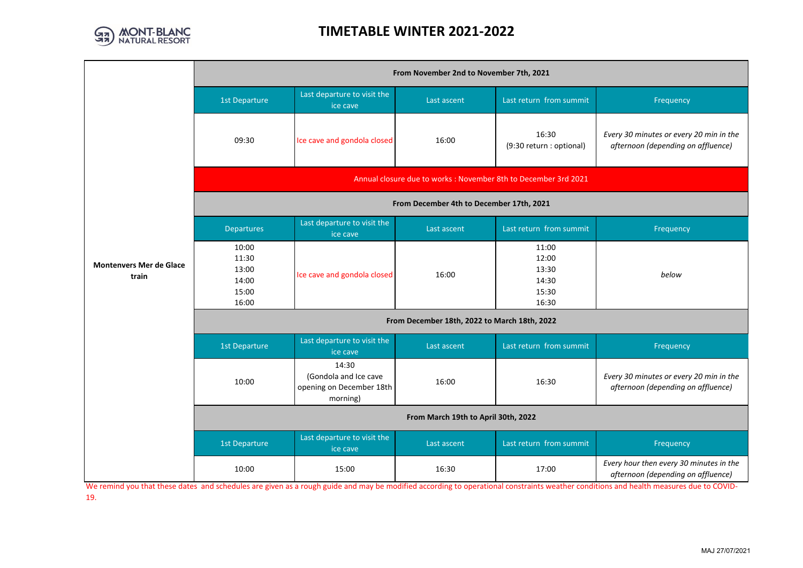

## **TIMETABLE WINTER 2021-2022**

|                                         | From November 2nd to November 7th, 2021                         |                                                                        |             |                                                    |                                                                               |  |  |  |  |
|-----------------------------------------|-----------------------------------------------------------------|------------------------------------------------------------------------|-------------|----------------------------------------------------|-------------------------------------------------------------------------------|--|--|--|--|
|                                         | 1st Departure                                                   | Last departure to visit the<br>ice cave                                | Last ascent | Last return from summit                            | Frequency                                                                     |  |  |  |  |
|                                         | 09:30                                                           | Ice cave and gondola closed                                            | 16:00       | 16:30<br>(9:30 return : optional)                  | Every 30 minutes or every 20 min in the<br>afternoon (depending on affluence) |  |  |  |  |
|                                         | Annual closure due to works : November 8th to December 3rd 2021 |                                                                        |             |                                                    |                                                                               |  |  |  |  |
|                                         | From December 4th to December 17th, 2021                        |                                                                        |             |                                                    |                                                                               |  |  |  |  |
|                                         | <b>Departures</b>                                               | Last departure to visit the<br>ice cave                                | Last ascent | Last return from summit                            | Frequency                                                                     |  |  |  |  |
| <b>Montenvers Mer de Glace</b><br>train | 10:00<br>11:30<br>13:00<br>14:00<br>15:00<br>16:00              | Ice cave and gondola closed                                            | 16:00       | 11:00<br>12:00<br>13:30<br>14:30<br>15:30<br>16:30 | below                                                                         |  |  |  |  |
|                                         | From December 18th, 2022 to March 18th, 2022                    |                                                                        |             |                                                    |                                                                               |  |  |  |  |
|                                         | <b>1st Departure</b>                                            | Last departure to visit the<br>ice cave                                | Last ascent | Last return from summit                            | Frequency                                                                     |  |  |  |  |
|                                         | 10:00                                                           | 14:30<br>(Gondola and Ice cave<br>opening on December 18th<br>morning) | 16:00       | 16:30                                              | Every 30 minutes or every 20 min in the<br>afternoon (depending on affluence) |  |  |  |  |
|                                         | From March 19th to April 30th, 2022                             |                                                                        |             |                                                    |                                                                               |  |  |  |  |
|                                         | 1st Departure                                                   | Last departure to visit the<br>ice cave                                | Last ascent | Last return from summit                            | Frequency                                                                     |  |  |  |  |
|                                         | 10:00                                                           | 15:00                                                                  | 16:30       | 17:00                                              | Every hour then every 30 minutes in the<br>afternoon (depending on affluence) |  |  |  |  |

We remind you that these dates and schedules are given as a rough guide and may be modified according to operational constraints weather conditions and health measures due to COVID-